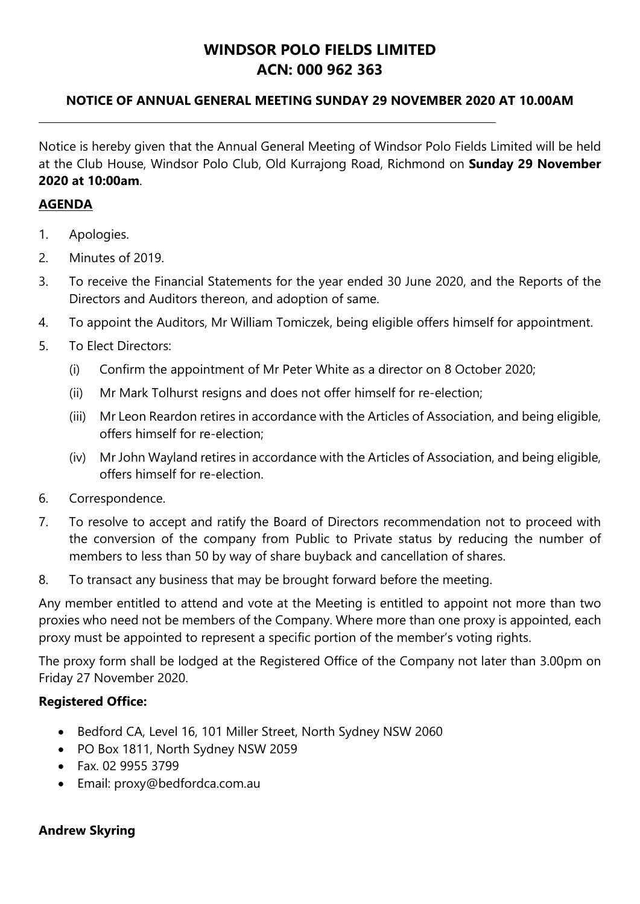# **WINDSOR POLO FIELDS LIMITED ACN: 000 962 363**

# **NOTICE OF ANNUAL GENERAL MEETING SUNDAY 29 NOVEMBER 2020 AT 10.00AM**

Notice is hereby given that the Annual General Meeting of Windsor Polo Fields Limited will be held at the Club House, Windsor Polo Club, Old Kurrajong Road, Richmond on **Sunday 29 November 2020 at 10:00am**.

# **AGENDA**

- 1. Apologies.
- 2. Minutes of 2019.
- 3. To receive the Financial Statements for the year ended 30 June 2020, and the Reports of the Directors and Auditors thereon, and adoption of same.
- 4. To appoint the Auditors, Mr William Tomiczek, being eligible offers himself for appointment.
- 5. To Elect Directors:
	- (i) Confirm the appointment of Mr Peter White as a director on 8 October 2020;
	- (ii) Mr Mark Tolhurst resigns and does not offer himself for re-election;
	- (iii) Mr Leon Reardon retires in accordance with the Articles of Association, and being eligible, offers himself for re-election;
	- (iv) Mr John Wayland retires in accordance with the Articles of Association, and being eligible, offers himself for re-election.
- 6. Correspondence.
- 7. To resolve to accept and ratify the Board of Directors recommendation not to proceed with the conversion of the company from Public to Private status by reducing the number of members to less than 50 by way of share buyback and cancellation of shares.
- 8. To transact any business that may be brought forward before the meeting.

Any member entitled to attend and vote at the Meeting is entitled to appoint not more than two proxies who need not be members of the Company. Where more than one proxy is appointed, each proxy must be appointed to represent a specific portion of the member's voting rights.

The proxy form shall be lodged at the Registered Office of the Company not later than 3.00pm on Friday 27 November 2020.

# **Registered Office:**

- Bedford CA, Level 16, 101 Miller Street, North Sydney NSW 2060
- PO Box 1811, North Sydney NSW 2059
- Fax 02 9955 3799
- Email: proxy@bedfordca.com.au

# **Andrew Skyring**